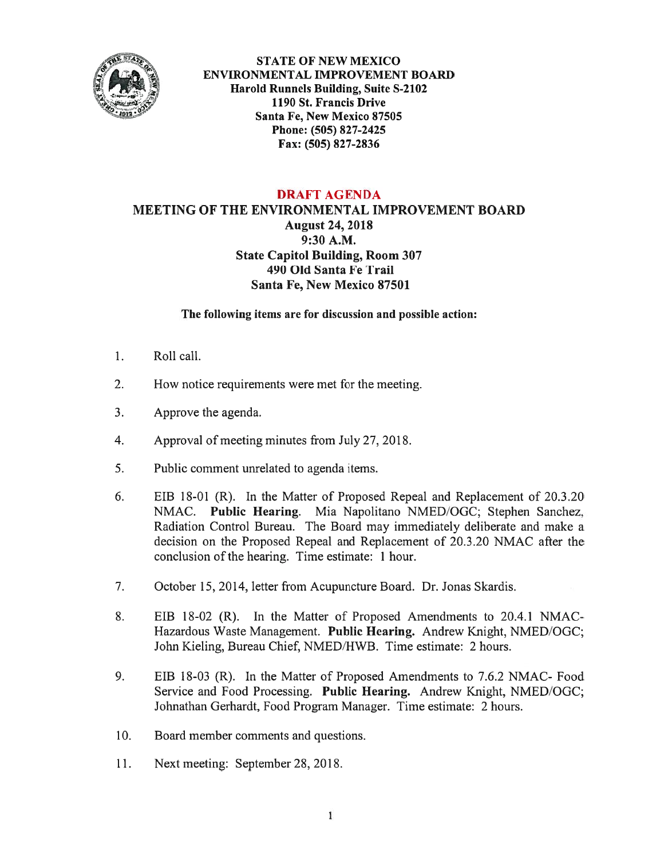

STATE OF NEW MEXICO ENVIRONMENTAL IMPROVEMENT BOARD Harold Runnels Building, Suite S-2102 1190 St. Francis Drive Santa Fe, New Mexico 87505 Phone: (505) 827-2425 Fax: (505) 827-2836

## DRAFT AGENDA

MEETING Of THE ENVIRONMENTAL IMPROVEMENT BOARD August 24, 2018 9:30 A.M. State Capitol Building, Room 307 490 Old Santa Fe Trail Santa Fe, New Mexico 87501

The following items are for discussion and possible action:

- 1. Roll call.
- 2. How notice requirements were met for the meeting.
- 3. Approve the agenda.
- 4. Approval of meeting minutes from July 27, 201\$.
- 5. Public comment unrelated to agenda items.
- 6. EIB 18-01 (R). In the Matter of Proposed Repeal and Replacement of 20.3.20 NMAC. Public Hearing. Mia Napolitano NMED/OGC; Stephen Sanchez, Radiation Control Bureau. The Board may immediately deliberate and make <sup>a</sup> decision on the Proposed Repeal and Replacement of 20.3.20 NMAC afier the conclusion of the hearing. Time estimate: 1 hour.
- 7. October 15, 2014, letter from Acupuncture Board. Dr. Jonas Skardis.
- 8. EIB 18-02 (R). In the Matter of Proposed Amendments to 20.4.1 NMAC Hazardous Waste Management. Public Hearing. Andrew Knight, NMED/OGC; John Kieling, Bureau Chief, NMED/HWB. Time estimate: 2 hours.
- 9. EIB 18-03 (R). In the Matter of Proposed Amendments to 7.6.2 NMAC- Food Service and Food Processing. Public Hearing. Andrew Knight, NMED/OGC; Johnathan Gerhardt, Food Program Manager. Time estimate: 2 hours.
- 10. Board member comments and questions.
- 11. Next meeting: September 28, 201\$.